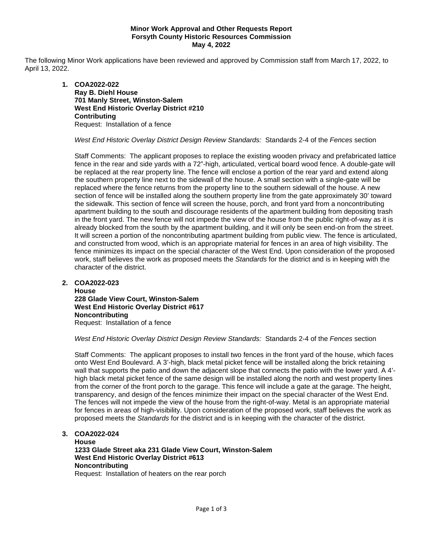### **Minor Work Approval and Other Requests Report Forsyth County Historic Resources Commission May 4, 2022**

The following Minor Work applications have been reviewed and approved by Commission staff from March 17, 2022, to April 13, 2022.

> **1. COA2022-022 Ray B. Diehl House 701 Manly Street, Winston-Salem West End Historic Overlay District #210 Contributing** Request: Installation of a fence

*West End Historic Overlay District Design Review Standards:* Standards 2-4 of the *Fences* section

Staff Comments: The applicant proposes to replace the existing wooden privacy and prefabricated lattice fence in the rear and side yards with a 72"-high, articulated, vertical board wood fence. A double-gate will be replaced at the rear property line. The fence will enclose a portion of the rear yard and extend along the southern property line next to the sidewall of the house. A small section with a single-gate will be replaced where the fence returns from the property line to the southern sidewall of the house. A new section of fence will be installed along the southern property line from the gate approximately 30' toward the sidewalk. This section of fence will screen the house, porch, and front yard from a noncontributing apartment building to the south and discourage residents of the apartment building from depositing trash in the front yard. The new fence will not impede the view of the house from the public right-of-way as it is already blocked from the south by the apartment building, and it will only be seen end-on from the street. It will screen a portion of the noncontributing apartment building from public view. The fence is articulated, and constructed from wood, which is an appropriate material for fences in an area of high visibility. The fence minimizes its impact on the special character of the West End. Upon consideration of the proposed work, staff believes the work as proposed meets the *Standards* for the district and is in keeping with the character of the district.

**2. COA2022-023**

**House 228 Glade View Court, Winston-Salem West End Historic Overlay District #617 Noncontributing** Request: Installation of a fence

*West End Historic Overlay District Design Review Standards:* Standards 2-4 of the *Fences* section

Staff Comments: The applicant proposes to install two fences in the front yard of the house, which faces onto West End Boulevard. A 3'-high, black metal picket fence will be installed along the brick retaining wall that supports the patio and down the adjacent slope that connects the patio with the lower yard. A 4' high black metal picket fence of the same design will be installed along the north and west property lines from the corner of the front porch to the garage. This fence will include a gate at the garage. The height, transparency, and design of the fences minimize their impact on the special character of the West End. The fences will not impede the view of the house from the right-of-way. Metal is an appropriate material for fences in areas of high-visibility. Upon consideration of the proposed work, staff believes the work as proposed meets the *Standards* for the district and is in keeping with the character of the district.

# **3. COA2022-024**

**House 1233 Glade Street aka 231 Glade View Court, Winston-Salem West End Historic Overlay District #613 Noncontributing** Request: Installation of heaters on the rear porch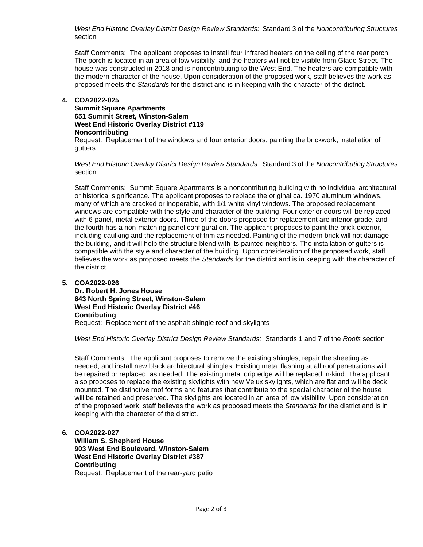*West End Historic Overlay District Design Review Standards:* Standard 3 of the *Noncontributing Structures* section

Staff Comments: The applicant proposes to install four infrared heaters on the ceiling of the rear porch. The porch is located in an area of low visibility, and the heaters will not be visible from Glade Street. The house was constructed in 2018 and is noncontributing to the West End. The heaters are compatible with the modern character of the house. Upon consideration of the proposed work, staff believes the work as proposed meets the *Standards* for the district and is in keeping with the character of the district.

## **4. COA2022-025**

**Summit Square Apartments 651 Summit Street, Winston-Salem West End Historic Overlay District #119 Noncontributing**

Request: Replacement of the windows and four exterior doors; painting the brickwork; installation of gutters

*West End Historic Overlay District Design Review Standards:* Standard 3 of the *Noncontributing Structures* section

Staff Comments: Summit Square Apartments is a noncontributing building with no individual architectural or historical significance. The applicant proposes to replace the original ca. 1970 aluminum windows, many of which are cracked or inoperable, with 1/1 white vinyl windows. The proposed replacement windows are compatible with the style and character of the building. Four exterior doors will be replaced with 6-panel, metal exterior doors. Three of the doors proposed for replacement are interior grade, and the fourth has a non-matching panel configuration. The applicant proposes to paint the brick exterior, including caulking and the replacement of trim as needed. Painting of the modern brick will not damage the building, and it will help the structure blend with its painted neighbors. The installation of gutters is compatible with the style and character of the building. Upon consideration of the proposed work, staff believes the work as proposed meets the *Standards* for the district and is in keeping with the character of the district.

### **5. COA2022-026**

**Dr. Robert H. Jones House 643 North Spring Street, Winston-Salem West End Historic Overlay District #46 Contributing** Request: Replacement of the asphalt shingle roof and skylights

*West End Historic Overlay District Design Review Standards:* Standards 1 and 7 of the *Roofs* section

Staff Comments: The applicant proposes to remove the existing shingles, repair the sheeting as needed, and install new black architectural shingles. Existing metal flashing at all roof penetrations will be repaired or replaced, as needed. The existing metal drip edge will be replaced in-kind. The applicant also proposes to replace the existing skylights with new Velux skylights, which are flat and will be deck mounted. The distinctive roof forms and features that contribute to the special character of the house will be retained and preserved. The skylights are located in an area of low visibility. Upon consideration of the proposed work, staff believes the work as proposed meets the *Standards* for the district and is in keeping with the character of the district.

### **6. COA2022-027**

**William S. Shepherd House 903 West End Boulevard, Winston-Salem West End Historic Overlay District #387 Contributing** Request: Replacement of the rear-yard patio